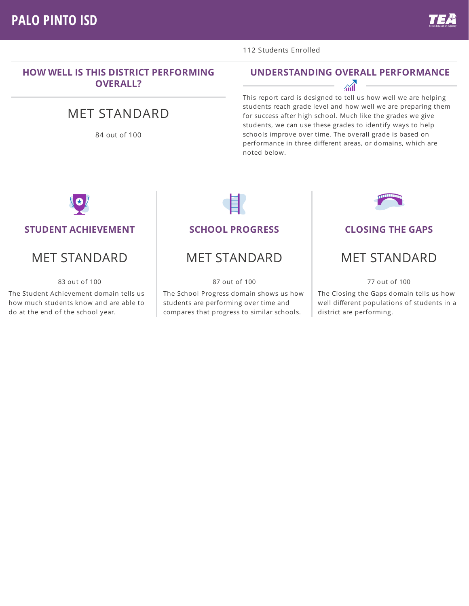### **HOW WELL IS THIS DISTRICT PERFORMING OVERALL?**

# MET STANDARD

84 out of 100

#### 112 Students Enrolled

### **UNDERSTANDING OVERALL PERFORMANCE**

 $\mathcal{M}$ 

This report card is designed to tell us how well we are helping students reach grade level and how well we are preparing them for success after high school. Much like the grades we give students, we can use these grades to identify ways to help schools improve over time. The overall grade is based on performance in three different areas, or domains, which are noted below.



#### **STUDENT ACHIEVEMENT**

## MET STANDARD

83 out of 100

The Student Achievement domain tells us how much students know and are able to do at the end of the school year.

### **SCHOOL PROGRESS**

## MET STANDARD

87 out of 100

The School Progress domain shows us how students are performing over time and compares that progress to similar schools.



#### **CLOSING THE GAPS**

## MET STANDARD

77 out of 100

The Closing the Gaps domain tells us how well different populations of students in a district are performing.